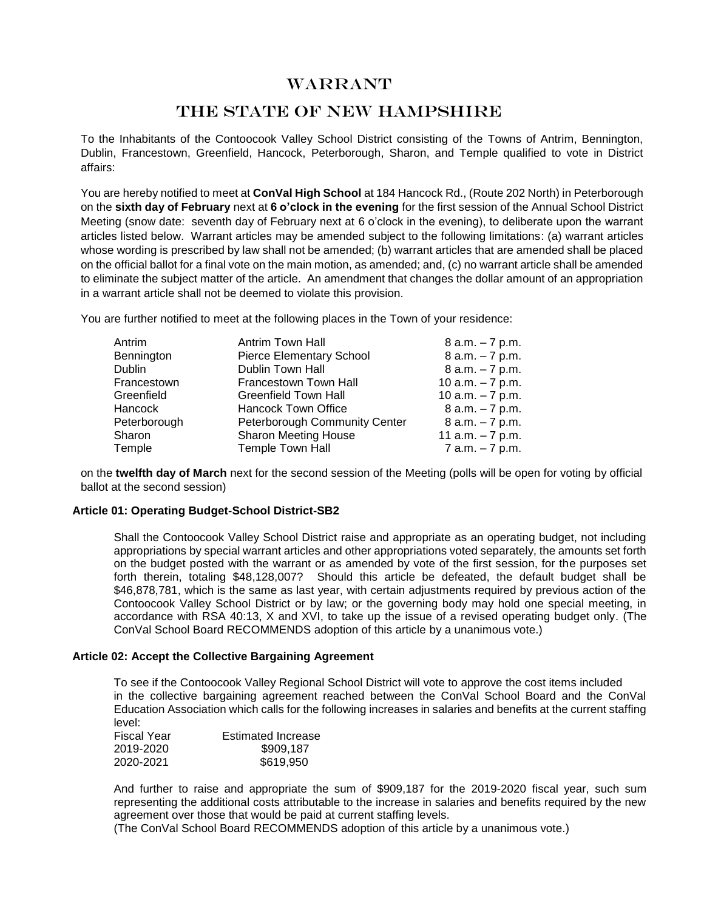# WARRANT

# THE STATE OF NEW HAMPSHIRE

To the Inhabitants of the Contoocook Valley School District consisting of the Towns of Antrim, Bennington, Dublin, Francestown, Greenfield, Hancock, Peterborough, Sharon, and Temple qualified to vote in District affairs:

You are hereby notified to meet at **ConVal High School** at 184 Hancock Rd., (Route 202 North) in Peterborough on the **sixth day of February** next at **6 o'clock in the evening** for the first session of the Annual School District Meeting (snow date: seventh day of February next at 6 o'clock in the evening), to deliberate upon the warrant articles listed below. Warrant articles may be amended subject to the following limitations: (a) warrant articles whose wording is prescribed by law shall not be amended; (b) warrant articles that are amended shall be placed on the official ballot for a final vote on the main motion, as amended; and, (c) no warrant article shall be amended to eliminate the subject matter of the article. An amendment that changes the dollar amount of an appropriation in a warrant article shall not be deemed to violate this provision.

You are further notified to meet at the following places in the Town of your residence:

| Antrim       | Antrim Town Hall                | $8 a.m. - 7 p.m.$  |
|--------------|---------------------------------|--------------------|
| Bennington   | <b>Pierce Elementary School</b> | $8 a.m. - 7 p.m.$  |
| Dublin       | Dublin Town Hall                | $8 a.m. - 7 p.m.$  |
| Francestown  | Francestown Town Hall           | 10 $a.m. - 7 p.m.$ |
| Greenfield   | Greenfield Town Hall            | 10 $a.m. - 7 p.m.$ |
| Hancock      | <b>Hancock Town Office</b>      | $8 a.m. - 7 p.m.$  |
| Peterborough | Peterborough Community Center   | $8$ a.m. $-7$ p.m. |
| Sharon       | <b>Sharon Meeting House</b>     | 11 $a.m. - 7 p.m.$ |
| Temple       | Temple Town Hall                | 7 a.m. - 7 p.m.    |

on the **twelfth day of March** next for the second session of the Meeting (polls will be open for voting by official ballot at the second session)

# **Article 01: Operating Budget-School District-SB2**

Shall the Contoocook Valley School District raise and appropriate as an operating budget, not including appropriations by special warrant articles and other appropriations voted separately, the amounts set forth on the budget posted with the warrant or as amended by vote of the first session, for the purposes set forth therein, totaling \$48,128,007? Should this article be defeated, the default budget shall be \$46,878,781, which is the same as last year, with certain adjustments required by previous action of the Contoocook Valley School District or by law; or the governing body may hold one special meeting, in accordance with RSA 40:13, X and XVI, to take up the issue of a revised operating budget only. (The ConVal School Board RECOMMENDS adoption of this article by a unanimous vote.)

# **Article 02: Accept the Collective Bargaining Agreement**

To see if the Contoocook Valley Regional School District will vote to approve the cost items included in the collective bargaining agreement reached between the ConVal School Board and the ConVal Education Association which calls for the following increases in salaries and benefits at the current staffing level:

| Fiscal Year | <b>Estimated Increase</b> |
|-------------|---------------------------|
| 2019-2020   | \$909,187                 |
| 2020-2021   | \$619,950                 |

And further to raise and appropriate the sum of \$909,187 for the 2019-2020 fiscal year, such sum representing the additional costs attributable to the increase in salaries and benefits required by the new agreement over those that would be paid at current staffing levels.

(The ConVal School Board RECOMMENDS adoption of this article by a unanimous vote.)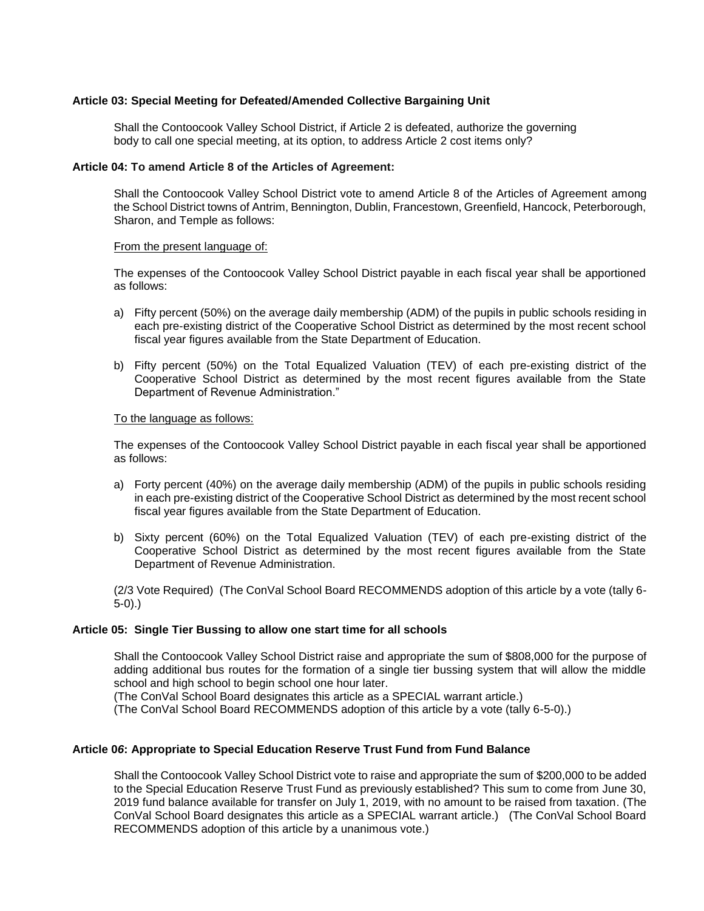# **Article 03: Special Meeting for Defeated/Amended Collective Bargaining Unit**

Shall the Contoocook Valley School District, if Article 2 is defeated, authorize the governing body to call one special meeting, at its option, to address Article 2 cost items only?

#### **Article 04: To amend Article 8 of the Articles of Agreement:**

Shall the Contoocook Valley School District vote to amend Article 8 of the Articles of Agreement among the School District towns of Antrim, Bennington, Dublin, Francestown, Greenfield, Hancock, Peterborough, Sharon, and Temple as follows:

#### From the present language of:

The expenses of the Contoocook Valley School District payable in each fiscal year shall be apportioned as follows:

- a) Fifty percent (50%) on the average daily membership (ADM) of the pupils in public schools residing in each pre-existing district of the Cooperative School District as determined by the most recent school fiscal year figures available from the State Department of Education.
- b) Fifty percent (50%) on the Total Equalized Valuation (TEV) of each pre-existing district of the Cooperative School District as determined by the most recent figures available from the State Department of Revenue Administration."

#### To the language as follows:

The expenses of the Contoocook Valley School District payable in each fiscal year shall be apportioned as follows:

- a) Forty percent (40%) on the average daily membership (ADM) of the pupils in public schools residing in each pre-existing district of the Cooperative School District as determined by the most recent school fiscal year figures available from the State Department of Education.
- b) Sixty percent (60%) on the Total Equalized Valuation (TEV) of each pre-existing district of the Cooperative School District as determined by the most recent figures available from the State Department of Revenue Administration.

(2/3 Vote Required) (The ConVal School Board RECOMMENDS adoption of this article by a vote (tally 6- 5-0).)

#### **Article 05: Single Tier Bussing to allow one start time for all schools**

Shall the Contoocook Valley School District raise and appropriate the sum of \$808,000 for the purpose of adding additional bus routes for the formation of a single tier bussing system that will allow the middle school and high school to begin school one hour later.

(The ConVal School Board designates this article as a SPECIAL warrant article.)

(The ConVal School Board RECOMMENDS adoption of this article by a vote (tally 6-5-0).)

## **Article 0***6***: Appropriate to Special Education Reserve Trust Fund from Fund Balance**

Shall the Contoocook Valley School District vote to raise and appropriate the sum of \$200,000 to be added to the Special Education Reserve Trust Fund as previously established? This sum to come from June 30, 2019 fund balance available for transfer on July 1, 2019, with no amount to be raised from taxation. (The ConVal School Board designates this article as a SPECIAL warrant article.) (The ConVal School Board RECOMMENDS adoption of this article by a unanimous vote.)